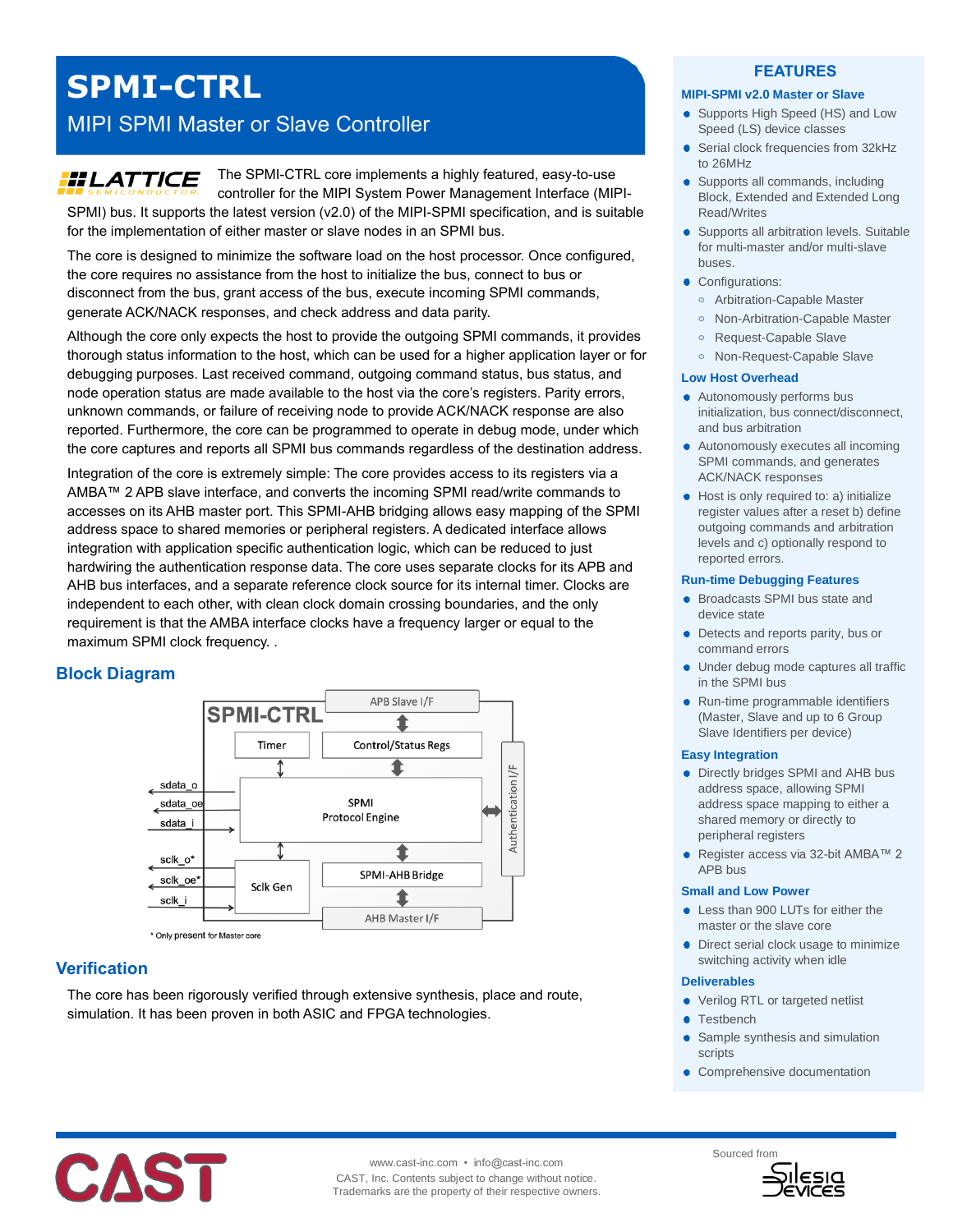# **SPMI-CTRL**

# MIPI SPMI Master or Slave Controller

# **HLATTICE**

The SPMI-CTRL core implements a highly featured, easy-to-use controller for the MIPI System Power Management Interface (MIPI-SPMI) bus. It supports the latest version (v2.0) of the MIPI-SPMI specification, and is suitable for the implementation of either master or slave nodes in an SPMI bus.

The core is designed to minimize the software load on the host processor. Once configured, the core requires no assistance from the host to initialize the bus, connect to bus or disconnect from the bus, grant access of the bus, execute incoming SPMI commands, generate ACK/NACK responses, and check address and data parity.

Although the core only expects the host to provide the outgoing SPMI commands, it provides thorough status information to the host, which can be used for a higher application layer or for debugging purposes. Last received command, outgoing command status, bus status, and node operation status are made available to the host via the core's registers. Parity errors, unknown commands, or failure of receiving node to provide ACK/NACK response are also reported. Furthermore, the core can be programmed to operate in debug mode, under which the core captures and reports all SPMI bus commands regardless of the destination address.

Integration of the core is extremely simple: The core provides access to its registers via a AMBA™ 2 APB slave interface, and converts the incoming SPMI read/write commands to accesses on its AHB master port. This SPMI-AHB bridging allows easy mapping of the SPMI address space to shared memories or peripheral registers. A dedicated interface allows integration with application specific authentication logic, which can be reduced to just hardwiring the authentication response data. The core uses separate clocks for its APB and AHB bus interfaces, and a separate reference clock source for its internal timer. Clocks are independent to each other, with clean clock domain crossing boundaries, and the only requirement is that the AMBA interface clocks have a frequency larger or equal to the maximum SPMI clock frequency. .

# **Block Diagram**



\* Only present for Master core

# **Verification**

The core has been rigorously verified through extensive synthesis, place and route, simulation. It has been proven in both ASIC and FPGA technologies.

### **FEATURES**

#### **MIPI-SPMI v2.0 Master or Slave**

- Supports High Speed (HS) and Low Speed (LS) device classes
- Serial clock frequencies from 32kHz to 26MHz
- Supports all commands, including Block, Extended and Extended Long Read/Writes
- Supports all arbitration levels. Suitable for multi-master and/or multi-slave buses.
- Configurations:
	- **o** Arbitration-Capable Master
	- **o** Non-Arbitration-Capable Master
	- **o** Request-Capable Slave
	- **o** Non-Request-Capable Slave

#### **Low Host Overhead**

- Autonomously performs bus initialization, bus connect/disconnect, and bus arbitration
- Autonomously executes all incoming SPMI commands, and generates ACK/NACK responses
- Host is only required to: a) initialize register values after a reset b) define outgoing commands and arbitration levels and c) optionally respond to reported errors.

#### **Run-time Debugging Features**

- **•** Broadcasts SPMI bus state and device state
- Detects and reports parity, bus or command errors
- Under debug mode captures all traffic in the SPMI bus
- Run-time programmable identifiers (Master, Slave and up to 6 Group Slave Identifiers per device)

#### **Easy Integration**

- Directly bridges SPMI and AHB bus address space, allowing SPMI address space mapping to either a shared memory or directly to peripheral registers
- Register access via 32-bit AMBA™ 2 APB bus

#### **Small and Low Power**

- Less than 900 LUTs for either the master or the slave core
- Direct serial clock usage to minimize switching activity when idle

#### **Deliverables**

- Verilog RTL or targeted netlist
- **Testbench**
- Sample synthesis and simulation scripts
- Comprehensive documentation



www.cast-inc.com • info@cast-inc.com CAST, Inc. Contents subject to change without notice. Trademarks are the property of their respective owners.